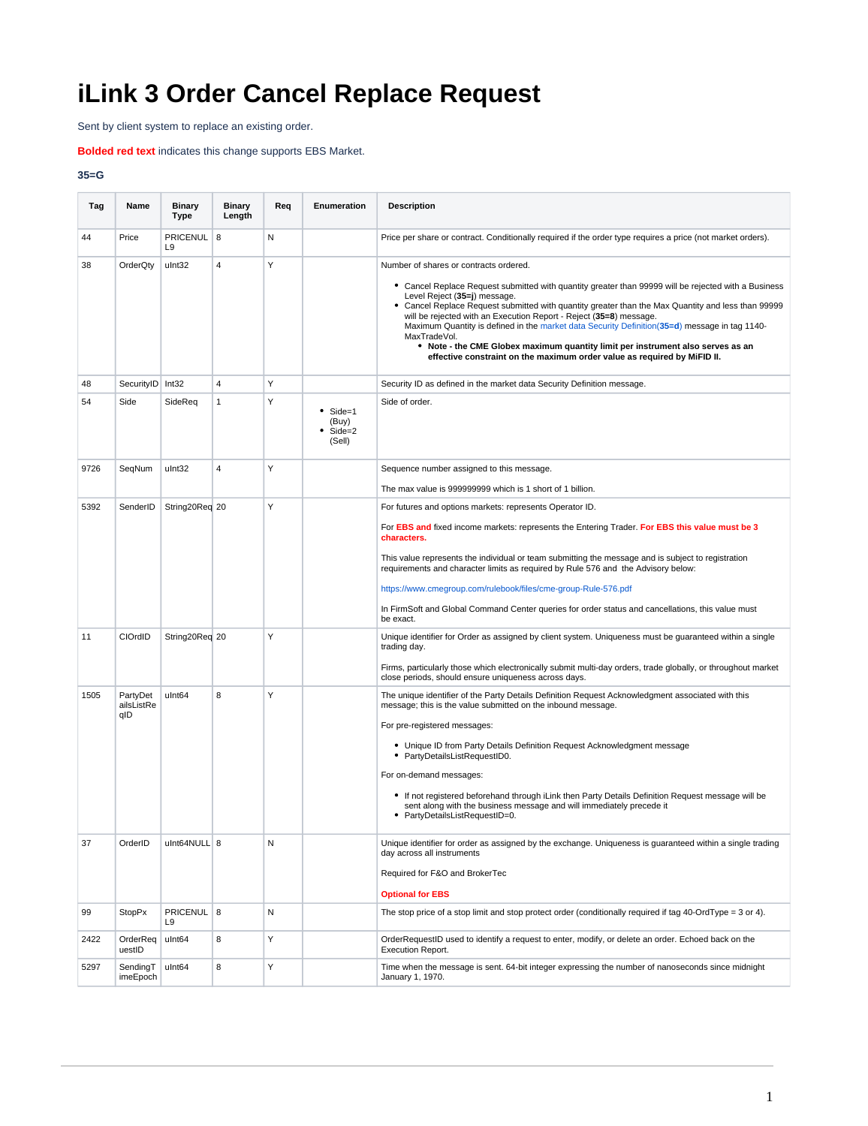## **iLink 3 Order Cancel Replace Request**

Sent by client system to replace an existing order.

## **Bolded red text** indicates this change supports EBS Market.

## **35=G**

| Tag  | Name                          | <b>Binary</b><br>Type      | <b>Binary</b><br>Length | Req | Enumeration                                 | <b>Description</b>                                                                                                                                                                                                                                                                                                                                                                                                                                                                                                                                                                                                                          |
|------|-------------------------------|----------------------------|-------------------------|-----|---------------------------------------------|---------------------------------------------------------------------------------------------------------------------------------------------------------------------------------------------------------------------------------------------------------------------------------------------------------------------------------------------------------------------------------------------------------------------------------------------------------------------------------------------------------------------------------------------------------------------------------------------------------------------------------------------|
| 44   | Price                         | PRICENUL<br>L <sub>9</sub> | 8                       | N   |                                             | Price per share or contract. Conditionally required if the order type requires a price (not market orders).                                                                                                                                                                                                                                                                                                                                                                                                                                                                                                                                 |
| 38   | OrderQty                      | ulnt32                     | 4                       | Y   |                                             | Number of shares or contracts ordered.<br>• Cancel Replace Request submitted with quantity greater than 99999 will be rejected with a Business<br>Level Reiect (35=i) message.<br>• Cancel Replace Request submitted with quantity greater than the Max Quantity and less than 99999<br>will be rejected with an Execution Report - Reject (35=8) message.<br>Maximum Quantity is defined in the market data Security Definition (35=d) message in tag 1140-<br>MaxTradeVol.<br>• Note - the CME Globex maximum quantity limit per instrument also serves as an<br>effective constraint on the maximum order value as required by MiFID II. |
| 48   | SecurityID Int32              |                            | $\overline{4}$          | Υ   |                                             | Security ID as defined in the market data Security Definition message.                                                                                                                                                                                                                                                                                                                                                                                                                                                                                                                                                                      |
| 54   | Side                          | SideReq                    | $\mathbf{1}$            | Υ   | $•$ Side=1<br>(Buy)<br>$Side = 2$<br>(Sell) | Side of order.                                                                                                                                                                                                                                                                                                                                                                                                                                                                                                                                                                                                                              |
| 9726 | SeqNum                        | ulnt32                     | 4                       | Υ   |                                             | Sequence number assigned to this message.                                                                                                                                                                                                                                                                                                                                                                                                                                                                                                                                                                                                   |
|      |                               |                            |                         |     |                                             | The max value is 999999999 which is 1 short of 1 billion.                                                                                                                                                                                                                                                                                                                                                                                                                                                                                                                                                                                   |
| 5392 | SenderID                      | String20Req 20             |                         | Y   |                                             | For futures and options markets: represents Operator ID.<br>For EBS and fixed income markets: represents the Entering Trader. For EBS this value must be 3<br>characters.                                                                                                                                                                                                                                                                                                                                                                                                                                                                   |
|      |                               |                            |                         |     |                                             | This value represents the individual or team submitting the message and is subject to registration<br>requirements and character limits as required by Rule 576 and the Advisory below:                                                                                                                                                                                                                                                                                                                                                                                                                                                     |
|      |                               |                            |                         |     |                                             | https://www.cmegroup.com/rulebook/files/cme-group-Rule-576.pdf                                                                                                                                                                                                                                                                                                                                                                                                                                                                                                                                                                              |
|      |                               |                            |                         |     |                                             | In FirmSoft and Global Command Center queries for order status and cancellations, this value must<br>be exact.                                                                                                                                                                                                                                                                                                                                                                                                                                                                                                                              |
| 11   | CIOrdID                       | String20Req 20             |                         | Y   |                                             | Unique identifier for Order as assigned by client system. Uniqueness must be guaranteed within a single<br>trading day.<br>Firms, particularly those which electronically submit multi-day orders, trade globally, or throughout market                                                                                                                                                                                                                                                                                                                                                                                                     |
|      |                               |                            |                         |     |                                             | close periods, should ensure uniqueness across days.                                                                                                                                                                                                                                                                                                                                                                                                                                                                                                                                                                                        |
| 1505 | PartyDet<br>ailsListRe<br>qID | ulnt64                     | 8                       | Υ   |                                             | The unique identifier of the Party Details Definition Request Acknowledgment associated with this<br>message; this is the value submitted on the inbound message.                                                                                                                                                                                                                                                                                                                                                                                                                                                                           |
|      |                               |                            |                         |     |                                             | For pre-registered messages:                                                                                                                                                                                                                                                                                                                                                                                                                                                                                                                                                                                                                |
|      |                               |                            |                         |     |                                             | • Unique ID from Party Details Definition Request Acknowledgment message<br>• PartyDetailsListRequestID0.                                                                                                                                                                                                                                                                                                                                                                                                                                                                                                                                   |
|      |                               |                            |                         |     |                                             | For on-demand messages:                                                                                                                                                                                                                                                                                                                                                                                                                                                                                                                                                                                                                     |
|      |                               |                            |                         |     |                                             | • If not registered beforehand through iLink then Party Details Definition Request message will be<br>sent along with the business message and will immediately precede it<br>• PartyDetailsListRequestID=0.                                                                                                                                                                                                                                                                                                                                                                                                                                |
| 37   | OrderID                       | ulnt64NULL 8               |                         | N   |                                             | Unique identifier for order as assigned by the exchange. Uniqueness is quaranteed within a single trading<br>day across all instruments                                                                                                                                                                                                                                                                                                                                                                                                                                                                                                     |
|      |                               |                            |                         |     |                                             | Required for F&O and BrokerTec                                                                                                                                                                                                                                                                                                                                                                                                                                                                                                                                                                                                              |
|      |                               |                            |                         |     |                                             | <b>Optional for EBS</b>                                                                                                                                                                                                                                                                                                                                                                                                                                                                                                                                                                                                                     |
| 99   | <b>StopPx</b>                 | PRICENUL 8<br>L9           |                         | N   |                                             | The stop price of a stop limit and stop protect order (conditionally required if tag 40-OrdType = 3 or 4).                                                                                                                                                                                                                                                                                                                                                                                                                                                                                                                                  |
| 2422 | OrderReq<br>uestID            | ulnt64                     | 8                       | Υ   |                                             | OrderRequestID used to identify a request to enter, modify, or delete an order. Echoed back on the<br>Execution Report.                                                                                                                                                                                                                                                                                                                                                                                                                                                                                                                     |
| 5297 | SendingT<br>imeEpoch          | ulnt64                     | 8                       | Υ   |                                             | Time when the message is sent. 64-bit integer expressing the number of nanoseconds since midnight<br>January 1, 1970.                                                                                                                                                                                                                                                                                                                                                                                                                                                                                                                       |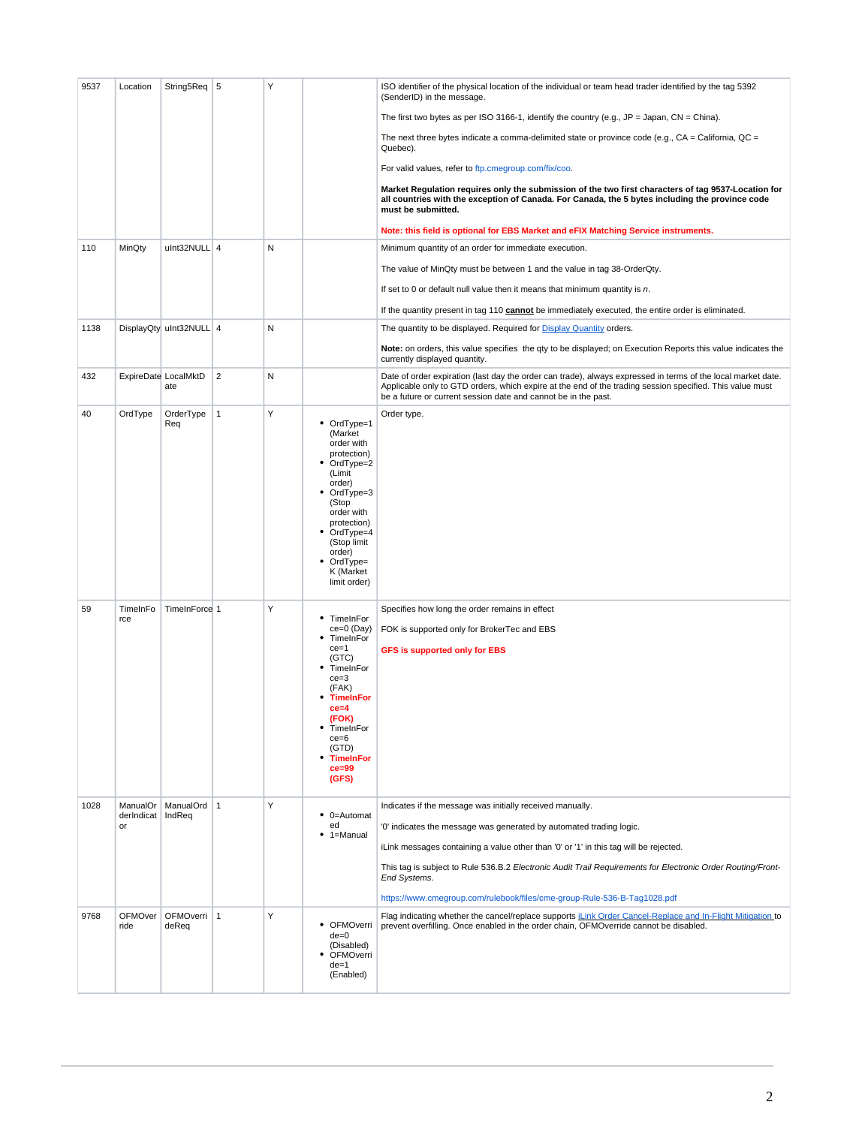| 9537 | Location                     | String5Req 5                |                | Υ |                                                                                                                                                                                                                                    | ISO identifier of the physical location of the individual or team head trader identified by the tag 5392<br>(SenderID) in the message.                                                                                                                                                                                                                                                                                               |
|------|------------------------------|-----------------------------|----------------|---|------------------------------------------------------------------------------------------------------------------------------------------------------------------------------------------------------------------------------------|--------------------------------------------------------------------------------------------------------------------------------------------------------------------------------------------------------------------------------------------------------------------------------------------------------------------------------------------------------------------------------------------------------------------------------------|
|      |                              |                             |                |   |                                                                                                                                                                                                                                    | The first two bytes as per ISO 3166-1, identify the country (e.g., $JP = Japan$ , $CN = China$ ).                                                                                                                                                                                                                                                                                                                                    |
|      |                              |                             |                |   |                                                                                                                                                                                                                                    | The next three bytes indicate a comma-delimited state or province code (e.g., $CA = California$ , $QC =$<br>Quebec).                                                                                                                                                                                                                                                                                                                 |
|      |                              |                             |                |   |                                                                                                                                                                                                                                    | For valid values, refer to ftp.cmegroup.com/fix/coo.                                                                                                                                                                                                                                                                                                                                                                                 |
|      |                              |                             |                |   |                                                                                                                                                                                                                                    | Market Regulation requires only the submission of the two first characters of tag 9537-Location for<br>all countries with the exception of Canada. For Canada, the 5 bytes including the province code<br>must be submitted.                                                                                                                                                                                                         |
|      |                              |                             |                |   |                                                                                                                                                                                                                                    | Note: this field is optional for EBS Market and eFIX Matching Service instruments.                                                                                                                                                                                                                                                                                                                                                   |
| 110  | MinQty                       | ulnt32NULL 4                |                | N |                                                                                                                                                                                                                                    | Minimum quantity of an order for immediate execution.                                                                                                                                                                                                                                                                                                                                                                                |
|      |                              |                             |                |   |                                                                                                                                                                                                                                    | The value of MinQty must be between 1 and the value in tag 38-OrderQty.                                                                                                                                                                                                                                                                                                                                                              |
|      |                              |                             |                |   |                                                                                                                                                                                                                                    | If set to 0 or default null value then it means that minimum quantity is $n$ .                                                                                                                                                                                                                                                                                                                                                       |
|      |                              |                             |                |   |                                                                                                                                                                                                                                    | If the quantity present in tag 110 cannot be immediately executed, the entire order is eliminated.                                                                                                                                                                                                                                                                                                                                   |
| 1138 |                              | DisplayQty uInt32NULL 4     |                | N |                                                                                                                                                                                                                                    | The quantity to be displayed. Required for <b>Display Quantity</b> orders.                                                                                                                                                                                                                                                                                                                                                           |
|      |                              |                             |                |   |                                                                                                                                                                                                                                    | Note: on orders, this value specifies the qty to be displayed; on Execution Reports this value indicates the<br>currently displayed quantity.                                                                                                                                                                                                                                                                                        |
| 432  |                              | ExpireDate LocalMktD<br>ate | $\overline{2}$ | N |                                                                                                                                                                                                                                    | Date of order expiration (last day the order can trade), always expressed in terms of the local market date.<br>Applicable only to GTD orders, which expire at the end of the trading session specified. This value must<br>be a future or current session date and cannot be in the past.                                                                                                                                           |
| 40   | OrdType                      | OrderType<br>Req            | $\mathbf{1}$   | Υ | • OrdType=1<br>(Market<br>order with<br>protection)<br>OrdType=2<br>٠<br>(Limit<br>order)<br>• OrdType=3<br>(Stop<br>order with<br>protection)<br>OrdType=4<br>٠<br>(Stop limit<br>order)<br>OrdType=<br>K (Market<br>limit order) | Order type.                                                                                                                                                                                                                                                                                                                                                                                                                          |
| 59   | TimeInFo<br>rce              | TimeInForce 1               |                | Υ | TimeInFor<br>٠<br>ce=0 (Day)<br>TimeInFor<br>$ce = 1$<br>(GTC)<br>TimeInFor<br>$ce = 3$<br>(FAK)<br><b>TimeInFor</b><br>$ce = 4$<br>(FOK)<br>• TimeInFor<br>$ce = 6$<br>(GTD)<br><b>TimeInFor</b><br>$ce = 99$<br>(GFS)            | Specifies how long the order remains in effect<br>FOK is supported only for BrokerTec and EBS<br><b>GFS is supported only for EBS</b>                                                                                                                                                                                                                                                                                                |
| 1028 | ManualOr<br>derIndicat<br>or | ManualOrd 1<br>IndReq       |                | Υ | $\bullet$ 0=Automat<br>ed<br>1=Manual                                                                                                                                                                                              | Indicates if the message was initially received manually.<br>'0' indicates the message was generated by automated trading logic.<br>iLink messages containing a value other than '0' or '1' in this tag will be rejected.<br>This tag is subject to Rule 536.B.2 Electronic Audit Trail Requirements for Electronic Order Routing/Front-<br>End Systems.<br>https://www.cmegroup.com/rulebook/files/cme-group-Rule-536-B-Tag1028.pdf |
| 9768 | OFMOver<br>ride              | OFMOverri   1<br>deReq      |                | Υ | • OFMOverri<br>$de=0$<br>(Disabled)<br>OFMOverri<br>$de=1$<br>(Enabled)                                                                                                                                                            | Flag indicating whether the cancel/replace supports <i>iLink Order Cancel-Replace and In-Flight Mitigation to</i><br>prevent overfilling. Once enabled in the order chain, OFMOverride cannot be disabled.                                                                                                                                                                                                                           |